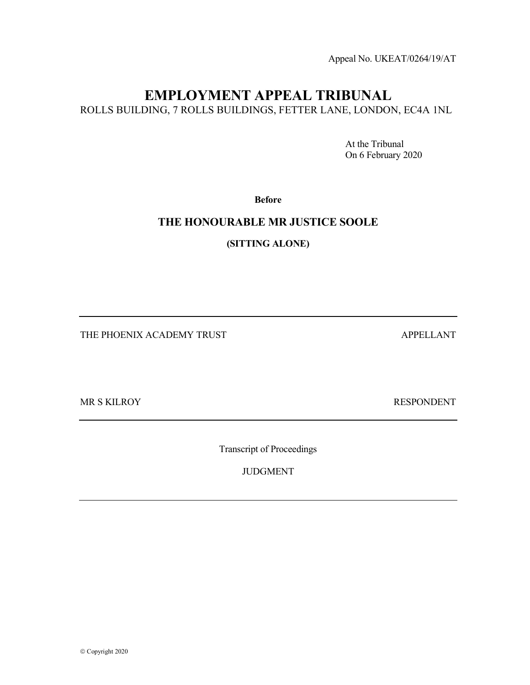Appeal No. UKEAT/0264/19/AT

# EMPLOYMENT APPEAL TRIBUNAL

ROLLS BUILDING, 7 ROLLS BUILDINGS, FETTER LANE, LONDON, EC4A 1NL

 At the Tribunal On 6 February 2020

Before

## THE HONOURABLE MR JUSTICE SOOLE

(SITTING ALONE)

THE PHOENIX ACADEMY TRUST APPELLANT

MR S KILROY RESPONDENT

Transcript of Proceedings

JUDGMENT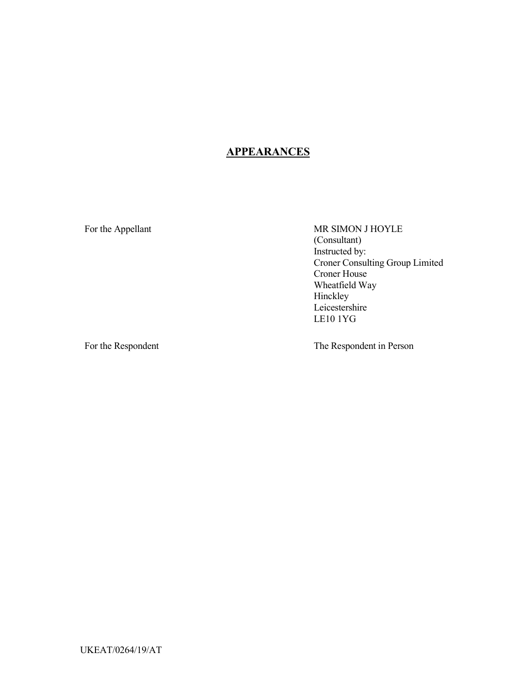# **APPEARANCES**

For the Appellant MR SIMON J HOYLE (Consultant) Instructed by: Croner Consulting Group Limited Croner House Wheatfield Way Hinckley Leicestershire LE10 1YG

For the Respondent The Respondent in Person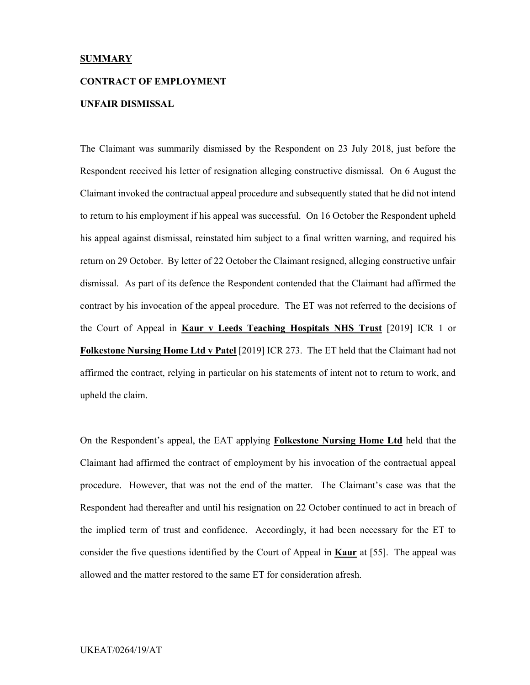#### SUMMARY

### CONTRACT OF EMPLOYMENT

### UNFAIR DISMISSAL

The Claimant was summarily dismissed by the Respondent on 23 July 2018, just before the Respondent received his letter of resignation alleging constructive dismissal. On 6 August the Claimant invoked the contractual appeal procedure and subsequently stated that he did not intend to return to his employment if his appeal was successful. On 16 October the Respondent upheld his appeal against dismissal, reinstated him subject to a final written warning, and required his return on 29 October. By letter of 22 October the Claimant resigned, alleging constructive unfair dismissal. As part of its defence the Respondent contended that the Claimant had affirmed the contract by his invocation of the appeal procedure. The ET was not referred to the decisions of the Court of Appeal in Kaur v Leeds Teaching Hospitals NHS Trust [2019] ICR 1 or Folkestone Nursing Home Ltd v Patel [2019] ICR 273. The ET held that the Claimant had not affirmed the contract, relying in particular on his statements of intent not to return to work, and upheld the claim.

On the Respondent's appeal, the EAT applying Folkestone Nursing Home Ltd held that the Claimant had affirmed the contract of employment by his invocation of the contractual appeal procedure. However, that was not the end of the matter. The Claimant's case was that the Respondent had thereafter and until his resignation on 22 October continued to act in breach of the implied term of trust and confidence. Accordingly, it had been necessary for the ET to consider the five questions identified by the Court of Appeal in Kaur at [55]. The appeal was allowed and the matter restored to the same ET for consideration afresh.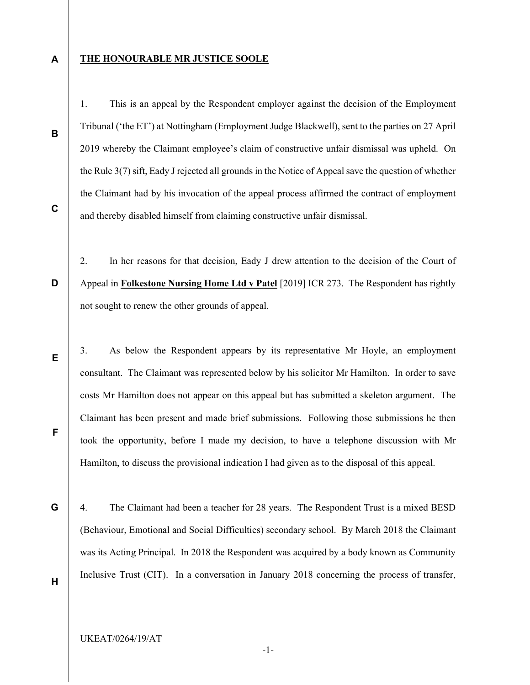### THE HONOURABLE MR JUSTICE SOOLE

1. This is an appeal by the Respondent employer against the decision of the Employment Tribunal ('the ET') at Nottingham (Employment Judge Blackwell), sent to the parties on 27 April 2019 whereby the Claimant employee's claim of constructive unfair dismissal was upheld. On the Rule 3(7) sift, Eady J rejected all grounds in the Notice of Appeal save the question of whether the Claimant had by his invocation of the appeal process affirmed the contract of employment and thereby disabled himself from claiming constructive unfair dismissal.

C

A

B

D

E

F

2. In her reasons for that decision, Eady J drew attention to the decision of the Court of Appeal in Folkestone Nursing Home Ltd v Patel [2019] ICR 273. The Respondent has rightly not sought to renew the other grounds of appeal.

3. As below the Respondent appears by its representative Mr Hoyle, an employment consultant. The Claimant was represented below by his solicitor Mr Hamilton. In order to save costs Mr Hamilton does not appear on this appeal but has submitted a skeleton argument. The Claimant has been present and made brief submissions. Following those submissions he then took the opportunity, before I made my decision, to have a telephone discussion with Mr Hamilton, to discuss the provisional indication I had given as to the disposal of this appeal.

G

4. The Claimant had been a teacher for 28 years. The Respondent Trust is a mixed BESD (Behaviour, Emotional and Social Difficulties) secondary school. By March 2018 the Claimant was its Acting Principal. In 2018 the Respondent was acquired by a body known as Community Inclusive Trust (CIT). In a conversation in January 2018 concerning the process of transfer,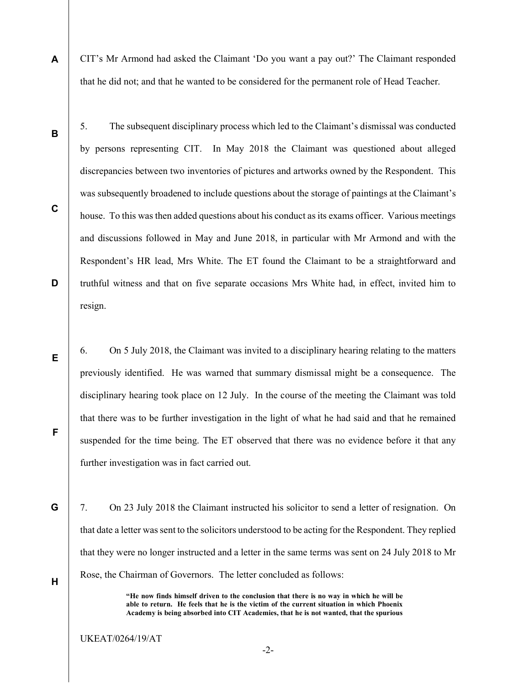- A CIT's Mr Armond had asked the Claimant 'Do you want a pay out?' The Claimant responded that he did not; and that he wanted to be considered for the permanent role of Head Teacher.
- B

C

D

E

F

G

H

5. The subsequent disciplinary process which led to the Claimant's dismissal was conducted by persons representing CIT. In May 2018 the Claimant was questioned about alleged discrepancies between two inventories of pictures and artworks owned by the Respondent. This was subsequently broadened to include questions about the storage of paintings at the Claimant's house. To this was then added questions about his conduct as its exams officer. Various meetings and discussions followed in May and June 2018, in particular with Mr Armond and with the Respondent's HR lead, Mrs White. The ET found the Claimant to be a straightforward and truthful witness and that on five separate occasions Mrs White had, in effect, invited him to resign.

6. On 5 July 2018, the Claimant was invited to a disciplinary hearing relating to the matters previously identified. He was warned that summary dismissal might be a consequence. The disciplinary hearing took place on 12 July. In the course of the meeting the Claimant was told that there was to be further investigation in the light of what he had said and that he remained suspended for the time being. The ET observed that there was no evidence before it that any further investigation was in fact carried out.

7. On 23 July 2018 the Claimant instructed his solicitor to send a letter of resignation. On that date a letter was sent to the solicitors understood to be acting for the Respondent. They replied that they were no longer instructed and a letter in the same terms was sent on 24 July 2018 to Mr Rose, the Chairman of Governors. The letter concluded as follows:

> "He now finds himself driven to the conclusion that there is no way in which he will be able to return. He feels that he is the victim of the current situation in which Phoenix Academy is being absorbed into CIT Academies, that he is not wanted, that the spurious

-2-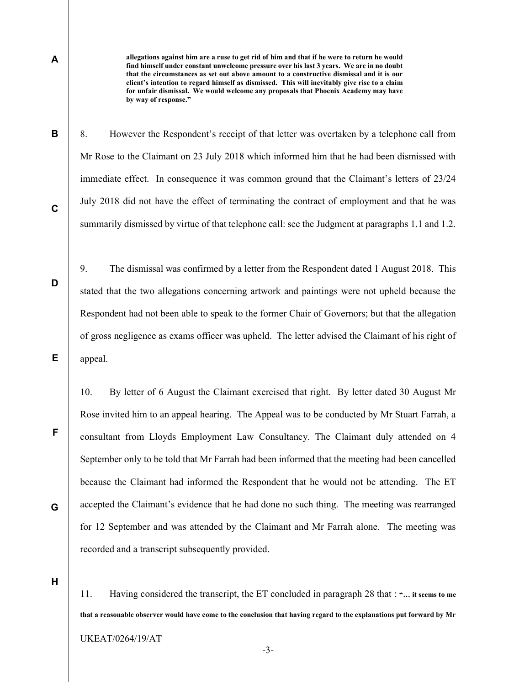allegations against him are a ruse to get rid of him and that if he were to return he would find himself under constant unwelcome pressure over his last 3 years. We are in no doubt that the circumstances as set out above amount to a constructive dismissal and it is our client's intention to regard himself as dismissed. This will inevitably give rise to a claim for unfair dismissal. We would welcome any proposals that Phoenix Academy may have by way of response."

C

B

A

8. However the Respondent's receipt of that letter was overtaken by a telephone call from Mr Rose to the Claimant on 23 July 2018 which informed him that he had been dismissed with immediate effect. In consequence it was common ground that the Claimant's letters of 23/24 July 2018 did not have the effect of terminating the contract of employment and that he was summarily dismissed by virtue of that telephone call: see the Judgment at paragraphs 1.1 and 1.2.

D

E

F

G

9. The dismissal was confirmed by a letter from the Respondent dated 1 August 2018. This stated that the two allegations concerning artwork and paintings were not upheld because the Respondent had not been able to speak to the former Chair of Governors; but that the allegation of gross negligence as exams officer was upheld. The letter advised the Claimant of his right of appeal.

10. By letter of 6 August the Claimant exercised that right. By letter dated 30 August Mr Rose invited him to an appeal hearing. The Appeal was to be conducted by Mr Stuart Farrah, a consultant from Lloyds Employment Law Consultancy. The Claimant duly attended on 4 September only to be told that Mr Farrah had been informed that the meeting had been cancelled because the Claimant had informed the Respondent that he would not be attending. The ET accepted the Claimant's evidence that he had done no such thing. The meeting was rearranged for 12 September and was attended by the Claimant and Mr Farrah alone. The meeting was recorded and a transcript subsequently provided.

H

UKEAT/0264/19/AT 11. Having considered the transcript, the ET concluded in paragraph 28 that : "... it seems to me that a reasonable observer would have come to the conclusion that having regard to the explanations put forward by Mr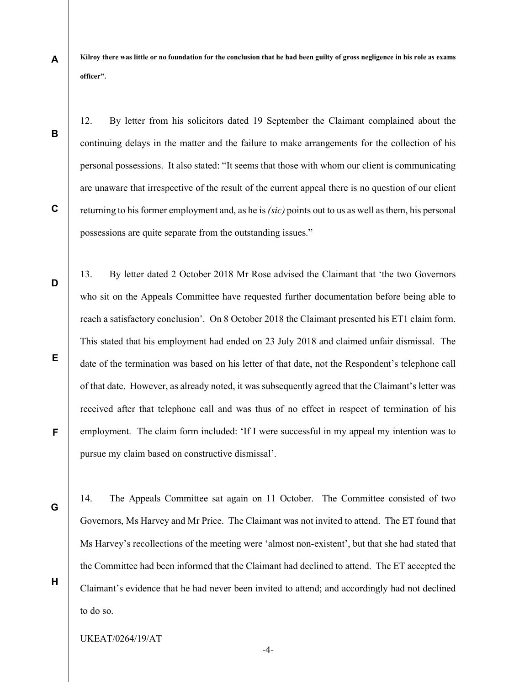Kilroy there was little or no foundation for the conclusion that he had been guilty of gross negligence in his role as exams officer".

B

C

D

E

F

A

12. By letter from his solicitors dated 19 September the Claimant complained about the continuing delays in the matter and the failure to make arrangements for the collection of his personal possessions. It also stated: "It seems that those with whom our client is communicating are unaware that irrespective of the result of the current appeal there is no question of our client returning to his former employment and, as he is *(sic)* points out to us as well as them, his personal possessions are quite separate from the outstanding issues."

13. By letter dated 2 October 2018 Mr Rose advised the Claimant that 'the two Governors who sit on the Appeals Committee have requested further documentation before being able to reach a satisfactory conclusion'. On 8 October 2018 the Claimant presented his ET1 claim form. This stated that his employment had ended on 23 July 2018 and claimed unfair dismissal. The date of the termination was based on his letter of that date, not the Respondent's telephone call of that date. However, as already noted, it was subsequently agreed that the Claimant's letter was received after that telephone call and was thus of no effect in respect of termination of his employment. The claim form included: 'If I were successful in my appeal my intention was to pursue my claim based on constructive dismissal'.

G

H

14. The Appeals Committee sat again on 11 October. The Committee consisted of two Governors, Ms Harvey and Mr Price. The Claimant was not invited to attend. The ET found that Ms Harvey's recollections of the meeting were 'almost non-existent', but that she had stated that the Committee had been informed that the Claimant had declined to attend. The ET accepted the Claimant's evidence that he had never been invited to attend; and accordingly had not declined to do so.

UKEAT/0264/19/AT

-4-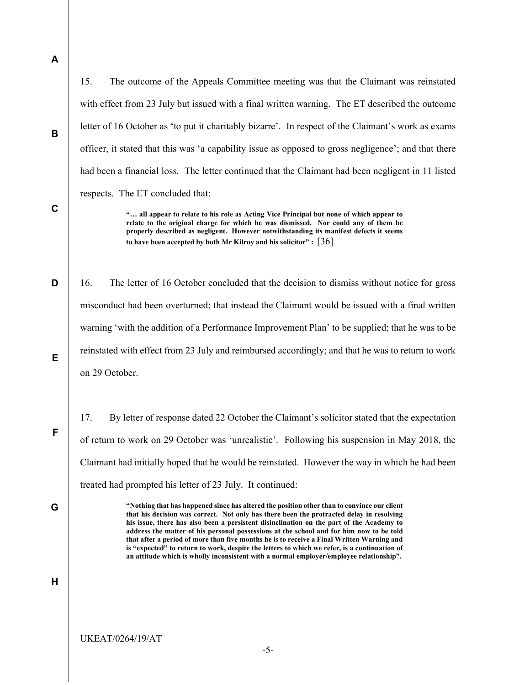|   | The outcome of the Appeals Committee meeting was that the Claimant was reinstated<br>15.                                                                                                                                                                                                                                                                                                                                                                                                                                                                                                                                                                               |
|---|------------------------------------------------------------------------------------------------------------------------------------------------------------------------------------------------------------------------------------------------------------------------------------------------------------------------------------------------------------------------------------------------------------------------------------------------------------------------------------------------------------------------------------------------------------------------------------------------------------------------------------------------------------------------|
|   | with effect from 23 July but issued with a final written warning. The ET described the outcome                                                                                                                                                                                                                                                                                                                                                                                                                                                                                                                                                                         |
| B | letter of 16 October as 'to put it charitably bizarre'. In respect of the Claimant's work as exams                                                                                                                                                                                                                                                                                                                                                                                                                                                                                                                                                                     |
|   | officer, it stated that this was 'a capability issue as opposed to gross negligence'; and that there                                                                                                                                                                                                                                                                                                                                                                                                                                                                                                                                                                   |
|   | had been a financial loss. The letter continued that the Claimant had been negligent in 11 listed                                                                                                                                                                                                                                                                                                                                                                                                                                                                                                                                                                      |
|   | respects. The ET concluded that:                                                                                                                                                                                                                                                                                                                                                                                                                                                                                                                                                                                                                                       |
| C | " all appear to relate to his role as Acting Vice Principal but none of which appear to<br>relate to the original charge for which he was dismissed. Nor could any of them be<br>properly described as negligent. However notwithstanding its manifest defects it seems<br>to have been accepted by both Mr Kilroy and his solicitor": $\lceil 36 \rceil$                                                                                                                                                                                                                                                                                                              |
| D | 16.<br>The letter of 16 October concluded that the decision to dismiss without notice for gross                                                                                                                                                                                                                                                                                                                                                                                                                                                                                                                                                                        |
|   | misconduct had been overturned; that instead the Claimant would be issued with a final written                                                                                                                                                                                                                                                                                                                                                                                                                                                                                                                                                                         |
|   | warning 'with the addition of a Performance Improvement Plan' to be supplied; that he was to be                                                                                                                                                                                                                                                                                                                                                                                                                                                                                                                                                                        |
| Е | reinstated with effect from 23 July and reimbursed accordingly; and that he was to return to work                                                                                                                                                                                                                                                                                                                                                                                                                                                                                                                                                                      |
|   | on 29 October.                                                                                                                                                                                                                                                                                                                                                                                                                                                                                                                                                                                                                                                         |
|   | By letter of response dated 22 October the Claimant's solicitor stated that the expectation<br>17.                                                                                                                                                                                                                                                                                                                                                                                                                                                                                                                                                                     |
| F | of return to work on 29 October was 'unrealistic'. Following his suspension in May 2018, the                                                                                                                                                                                                                                                                                                                                                                                                                                                                                                                                                                           |
|   | Claimant had initially hoped that he would be reinstated. However the way in which he had been                                                                                                                                                                                                                                                                                                                                                                                                                                                                                                                                                                         |
|   | treated had prompted his letter of 23 July. It continued:                                                                                                                                                                                                                                                                                                                                                                                                                                                                                                                                                                                                              |
| G | "Nothing that has happened since has altered the position other than to convince our client<br>that his decision was correct. Not only has there been the protracted delay in resolving<br>his issue, there has also been a persistent disinclination on the part of the Academy to<br>address the matter of his personal possessions at the school and for him now to be told<br>that after a period of more than five months he is to receive a Final Written Warning and<br>is "expected" to return to work, despite the letters to which we refer, is a continuation of<br>an attitude which is wholly inconsistent with a normal employer/employee relationship". |
| Н |                                                                                                                                                                                                                                                                                                                                                                                                                                                                                                                                                                                                                                                                        |

UKEAT/0264/19/AT

# A

-5-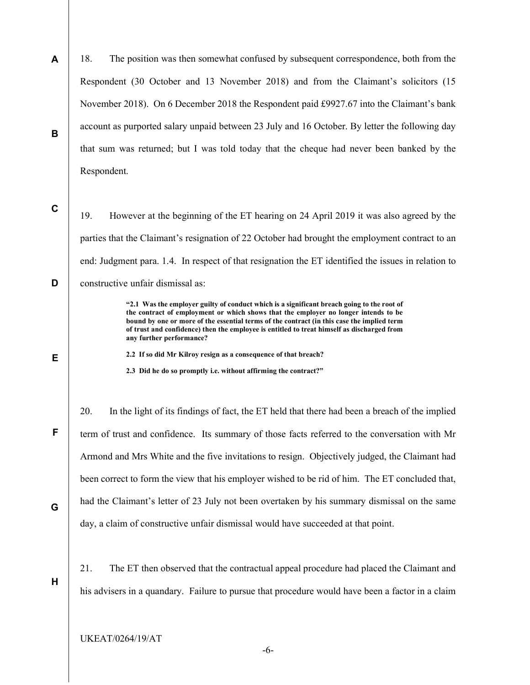A B 18. The position was then somewhat confused by subsequent correspondence, both from the Respondent (30 October and 13 November 2018) and from the Claimant's solicitors (15 November 2018). On 6 December 2018 the Respondent paid £9927.67 into the Claimant's bank account as purported salary unpaid between 23 July and 16 October. By letter the following day that sum was returned; but I was told today that the cheque had never been banked by the Respondent.

C

D

E

F

G

19. However at the beginning of the ET hearing on 24 April 2019 it was also agreed by the parties that the Claimant's resignation of 22 October had brought the employment contract to an end: Judgment para. 1.4. In respect of that resignation the ET identified the issues in relation to constructive unfair dismissal as:

> "2.1 Was the employer guilty of conduct which is a significant breach going to the root of the contract of employment or which shows that the employer no longer intends to be bound by one or more of the essential terms of the contract (in this case the implied term of trust and confidence) then the employee is entitled to treat himself as discharged from any further performance?

2.2 If so did Mr Kilroy resign as a consequence of that breach?

2.3 Did he do so promptly i.e. without affirming the contract?"

20. In the light of its findings of fact, the ET held that there had been a breach of the implied term of trust and confidence. Its summary of those facts referred to the conversation with Mr Armond and Mrs White and the five invitations to resign. Objectively judged, the Claimant had been correct to form the view that his employer wished to be rid of him. The ET concluded that, had the Claimant's letter of 23 July not been overtaken by his summary dismissal on the same day, a claim of constructive unfair dismissal would have succeeded at that point.

H

21. The ET then observed that the contractual appeal procedure had placed the Claimant and his advisers in a quandary. Failure to pursue that procedure would have been a factor in a claim

UKEAT/0264/19/AT

-6-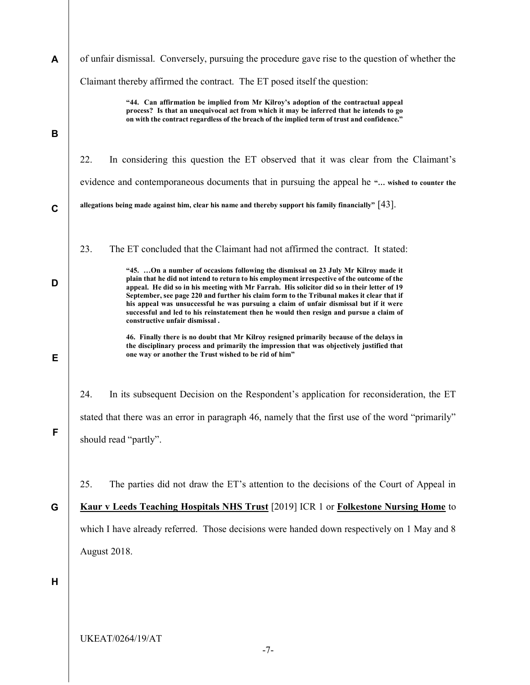| A           | of unfair dismissal. Conversely, pursuing the procedure gave rise to the question of whether the                                                                                                                                                                                                                                                                                                                                                                                                               |
|-------------|----------------------------------------------------------------------------------------------------------------------------------------------------------------------------------------------------------------------------------------------------------------------------------------------------------------------------------------------------------------------------------------------------------------------------------------------------------------------------------------------------------------|
|             | Claimant thereby affirmed the contract. The ET posed itself the question:                                                                                                                                                                                                                                                                                                                                                                                                                                      |
| В           | "44. Can affirmation be implied from Mr Kilroy's adoption of the contractual appeal<br>process? Is that an unequivocal act from which it may be inferred that he intends to go<br>on with the contract regardless of the breach of the implied term of trust and confidence."                                                                                                                                                                                                                                  |
|             | 22.<br>In considering this question the ET observed that it was clear from the Claimant's                                                                                                                                                                                                                                                                                                                                                                                                                      |
|             | evidence and contemporaneous documents that in pursuing the appeal he " wished to counter the                                                                                                                                                                                                                                                                                                                                                                                                                  |
| $\mathbf c$ | allegations being made against him, clear his name and thereby support his family financially" $[43]$ .                                                                                                                                                                                                                                                                                                                                                                                                        |
|             | 23.<br>The ET concluded that the Claimant had not affirmed the contract. It stated:<br>"45. On a number of occasions following the dismissal on 23 July Mr Kilroy made it                                                                                                                                                                                                                                                                                                                                      |
| D           | plain that he did not intend to return to his employment irrespective of the outcome of the<br>appeal. He did so in his meeting with Mr Farrah. His solicitor did so in their letter of 19<br>September, see page 220 and further his claim form to the Tribunal makes it clear that if<br>his appeal was unsuccessful he was pursuing a claim of unfair dismissal but if it were<br>successful and led to his reinstatement then he would then resign and pursue a claim of<br>constructive unfair dismissal. |
| Е           | 46. Finally there is no doubt that Mr Kilroy resigned primarily because of the delays in<br>the disciplinary process and primarily the impression that was objectively justified that<br>one way or another the Trust wished to be rid of him"                                                                                                                                                                                                                                                                 |
|             | 24.<br>In its subsequent Decision on the Respondent's application for reconsideration, the ET                                                                                                                                                                                                                                                                                                                                                                                                                  |
|             | stated that there was an error in paragraph 46, namely that the first use of the word "primarily"                                                                                                                                                                                                                                                                                                                                                                                                              |
| F           | should read "partly".                                                                                                                                                                                                                                                                                                                                                                                                                                                                                          |
|             |                                                                                                                                                                                                                                                                                                                                                                                                                                                                                                                |
|             | 25.<br>The parties did not draw the ET's attention to the decisions of the Court of Appeal in                                                                                                                                                                                                                                                                                                                                                                                                                  |
| G           | <b>Kaur v Leeds Teaching Hospitals NHS Trust</b> [2019] ICR 1 or <b>Folkestone Nursing Home</b> to                                                                                                                                                                                                                                                                                                                                                                                                             |
|             | which I have already referred. Those decisions were handed down respectively on 1 May and 8                                                                                                                                                                                                                                                                                                                                                                                                                    |
|             | August 2018.                                                                                                                                                                                                                                                                                                                                                                                                                                                                                                   |
| Н           |                                                                                                                                                                                                                                                                                                                                                                                                                                                                                                                |
|             |                                                                                                                                                                                                                                                                                                                                                                                                                                                                                                                |
|             |                                                                                                                                                                                                                                                                                                                                                                                                                                                                                                                |
|             | <b>UKEAT/0264/19/AT</b><br>$-7-$                                                                                                                                                                                                                                                                                                                                                                                                                                                                               |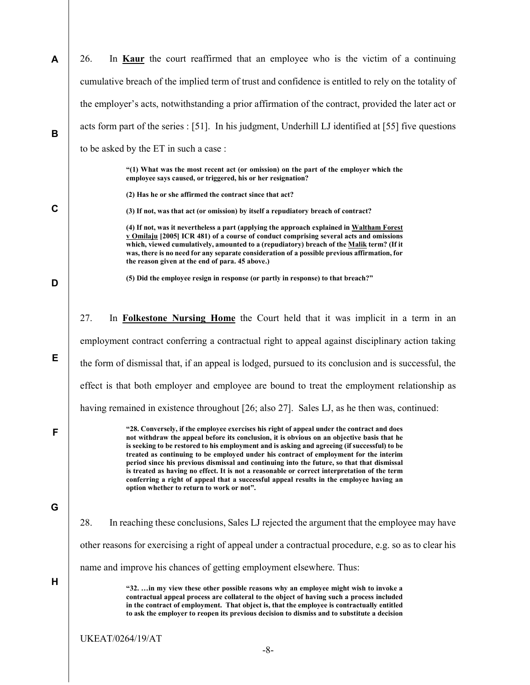| A           | 26.<br>In <b>Kaur</b> the court reaffirmed that an employee who is the victim of a continuing                                                                                                                                                                                                                                                                                                                                                                                                                                                                                                                                                                                                                           |
|-------------|-------------------------------------------------------------------------------------------------------------------------------------------------------------------------------------------------------------------------------------------------------------------------------------------------------------------------------------------------------------------------------------------------------------------------------------------------------------------------------------------------------------------------------------------------------------------------------------------------------------------------------------------------------------------------------------------------------------------------|
|             | cumulative breach of the implied term of trust and confidence is entitled to rely on the totality of                                                                                                                                                                                                                                                                                                                                                                                                                                                                                                                                                                                                                    |
|             | the employer's acts, notwithstanding a prior affirmation of the contract, provided the later act or                                                                                                                                                                                                                                                                                                                                                                                                                                                                                                                                                                                                                     |
| B           | acts form part of the series : [51]. In his judgment, Underhill LJ identified at [55] five questions                                                                                                                                                                                                                                                                                                                                                                                                                                                                                                                                                                                                                    |
|             | to be asked by the ET in such a case :                                                                                                                                                                                                                                                                                                                                                                                                                                                                                                                                                                                                                                                                                  |
|             | "(1) What was the most recent act (or omission) on the part of the employer which the<br>employee says caused, or triggered, his or her resignation?                                                                                                                                                                                                                                                                                                                                                                                                                                                                                                                                                                    |
|             | (2) Has he or she affirmed the contract since that act?                                                                                                                                                                                                                                                                                                                                                                                                                                                                                                                                                                                                                                                                 |
| $\mathbf C$ | (3) If not, was that act (or omission) by itself a repudiatory breach of contract?                                                                                                                                                                                                                                                                                                                                                                                                                                                                                                                                                                                                                                      |
|             | (4) If not, was it nevertheless a part (applying the approach explained in Waltham Forest<br>v Omilaju [2005] ICR 481) of a course of conduct comprising several acts and omissions<br>which, viewed cumulatively, amounted to a (repudiatory) breach of the Malik term? (If it<br>was, there is no need for any separate consideration of a possible previous affirmation, for<br>the reason given at the end of para. 45 above.)                                                                                                                                                                                                                                                                                      |
| D           | (5) Did the employee resign in response (or partly in response) to that breach?"                                                                                                                                                                                                                                                                                                                                                                                                                                                                                                                                                                                                                                        |
|             |                                                                                                                                                                                                                                                                                                                                                                                                                                                                                                                                                                                                                                                                                                                         |
|             | 27.<br>In <b>Folkestone Nursing Home</b> the Court held that it was implicit in a term in an                                                                                                                                                                                                                                                                                                                                                                                                                                                                                                                                                                                                                            |
|             | employment contract conferring a contractual right to appeal against disciplinary action taking                                                                                                                                                                                                                                                                                                                                                                                                                                                                                                                                                                                                                         |
| Е           | the form of dismissal that, if an appeal is lodged, pursued to its conclusion and is successful, the                                                                                                                                                                                                                                                                                                                                                                                                                                                                                                                                                                                                                    |
|             | effect is that both employer and employee are bound to treat the employment relationship as                                                                                                                                                                                                                                                                                                                                                                                                                                                                                                                                                                                                                             |
|             | having remained in existence throughout [26; also 27]. Sales LJ, as he then was, continued:                                                                                                                                                                                                                                                                                                                                                                                                                                                                                                                                                                                                                             |
| F           | "28. Conversely, if the employee exercises his right of appeal under the contract and does<br>not withdraw the appeal before its conclusion, it is obvious on an objective basis that he<br>is seeking to be restored to his employment and is asking and agreeing (if successful) to be<br>treated as continuing to be employed under his contract of employment for the interim<br>period since his previous dismissal and continuing into the future, so that that dismissal<br>is treated as having no effect. It is not a reasonable or correct interpretation of the term<br>conferring a right of appeal that a successful appeal results in the employee having an<br>option whether to return to work or not". |
| G           |                                                                                                                                                                                                                                                                                                                                                                                                                                                                                                                                                                                                                                                                                                                         |
|             | In reaching these conclusions, Sales LJ rejected the argument that the employee may have<br>28.                                                                                                                                                                                                                                                                                                                                                                                                                                                                                                                                                                                                                         |
|             | other reasons for exercising a right of appeal under a contractual procedure, e.g. so as to clear his                                                                                                                                                                                                                                                                                                                                                                                                                                                                                                                                                                                                                   |
|             | name and improve his chances of getting employment elsewhere. Thus:                                                                                                                                                                                                                                                                                                                                                                                                                                                                                                                                                                                                                                                     |
| н           | "32.  in my view these other possible reasons why an employee might wish to invoke a<br>contractual appeal process are collateral to the object of having such a process included<br>in the contract of employment. That object is, that the employee is contractually entitled<br>to ask the employer to reopen its previous decision to dismiss and to substitute a decision                                                                                                                                                                                                                                                                                                                                          |
|             | <b>UKEAT/0264/19/AT</b>                                                                                                                                                                                                                                                                                                                                                                                                                                                                                                                                                                                                                                                                                                 |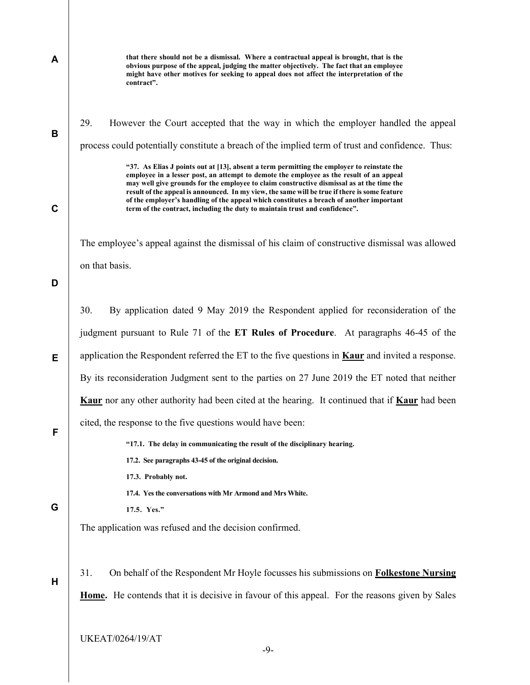| A           | that there should not be a dismissal. Where a contractual appeal is brought, that is the<br>obvious purpose of the appeal, judging the matter objectively. The fact that an employee<br>might have other motives for seeking to appeal does not affect the interpretation of the<br>contract".                                                                                                                                                                   |
|-------------|------------------------------------------------------------------------------------------------------------------------------------------------------------------------------------------------------------------------------------------------------------------------------------------------------------------------------------------------------------------------------------------------------------------------------------------------------------------|
| B           | 29.<br>However the Court accepted that the way in which the employer handled the appeal<br>process could potentially constitute a breach of the implied term of trust and confidence. Thus:<br>"37. As Elias J points out at [13], absent a term permitting the employer to reinstate the                                                                                                                                                                        |
| $\mathbf C$ | employee in a lesser post, an attempt to demote the employee as the result of an appeal<br>may well give grounds for the employee to claim constructive dismissal as at the time the<br>result of the appeal is announced. In my view, the same will be true if there is some feature<br>of the employer's handling of the appeal which constitutes a breach of another important<br>term of the contract, including the duty to maintain trust and confidence". |
| D           | The employee's appeal against the dismissal of his claim of constructive dismissal was allowed<br>on that basis.                                                                                                                                                                                                                                                                                                                                                 |
|             | 30.<br>By application dated 9 May 2019 the Respondent applied for reconsideration of the                                                                                                                                                                                                                                                                                                                                                                         |
|             | judgment pursuant to Rule 71 of the ET Rules of Procedure. At paragraphs 46-45 of the                                                                                                                                                                                                                                                                                                                                                                            |
| E           | application the Respondent referred the ET to the five questions in <b>Kaur</b> and invited a response.                                                                                                                                                                                                                                                                                                                                                          |
|             | By its reconsideration Judgment sent to the parties on 27 June 2019 the ET noted that neither                                                                                                                                                                                                                                                                                                                                                                    |
|             | <b>Kaur</b> nor any other authority had been cited at the hearing. It continued that if <b>Kaur</b> had been                                                                                                                                                                                                                                                                                                                                                     |
|             | cited, the response to the five questions would have been:                                                                                                                                                                                                                                                                                                                                                                                                       |
| F           | "17.1. The delay in communicating the result of the disciplinary hearing.                                                                                                                                                                                                                                                                                                                                                                                        |
|             | 17.2. See paragraphs 43-45 of the original decision.                                                                                                                                                                                                                                                                                                                                                                                                             |
|             | 17.3. Probably not.<br>17.4. Yes the conversations with Mr Armond and Mrs White.                                                                                                                                                                                                                                                                                                                                                                                 |
| G           | 17.5. Yes."                                                                                                                                                                                                                                                                                                                                                                                                                                                      |
|             | The application was refused and the decision confirmed.                                                                                                                                                                                                                                                                                                                                                                                                          |
| н           | 31.<br>On behalf of the Respondent Mr Hoyle focusses his submissions on <b>Folkestone Nursing</b>                                                                                                                                                                                                                                                                                                                                                                |
|             | Home. He contends that it is decisive in favour of this appeal. For the reasons given by Sales                                                                                                                                                                                                                                                                                                                                                                   |

UKEAT/0264/19/AT

-9-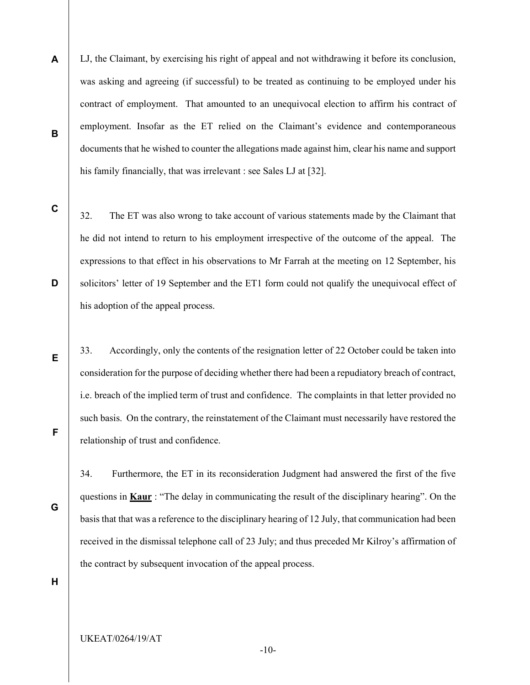A LJ, the Claimant, by exercising his right of appeal and not withdrawing it before its conclusion, was asking and agreeing (if successful) to be treated as continuing to be employed under his contract of employment. That amounted to an unequivocal election to affirm his contract of employment. Insofar as the ET relied on the Claimant's evidence and contemporaneous documents that he wished to counter the allegations made against him, clear his name and support his family financially, that was irrelevant : see Sales LJ at [32].

32. The ET was also wrong to take account of various statements made by the Claimant that he did not intend to return to his employment irrespective of the outcome of the appeal. The expressions to that effect in his observations to Mr Farrah at the meeting on 12 September, his solicitors' letter of 19 September and the ET1 form could not qualify the unequivocal effect of his adoption of the appeal process.

33. Accordingly, only the contents of the resignation letter of 22 October could be taken into consideration for the purpose of deciding whether there had been a repudiatory breach of contract, i.e. breach of the implied term of trust and confidence. The complaints in that letter provided no such basis. On the contrary, the reinstatement of the Claimant must necessarily have restored the relationship of trust and confidence.

34. Furthermore, the ET in its reconsideration Judgment had answered the first of the five questions in **Kaur** : "The delay in communicating the result of the disciplinary hearing". On the basis that that was a reference to the disciplinary hearing of 12 July, that communication had been received in the dismissal telephone call of 23 July; and thus preceded Mr Kilroy's affirmation of the contract by subsequent invocation of the appeal process.

H

G

B

D

E

F

C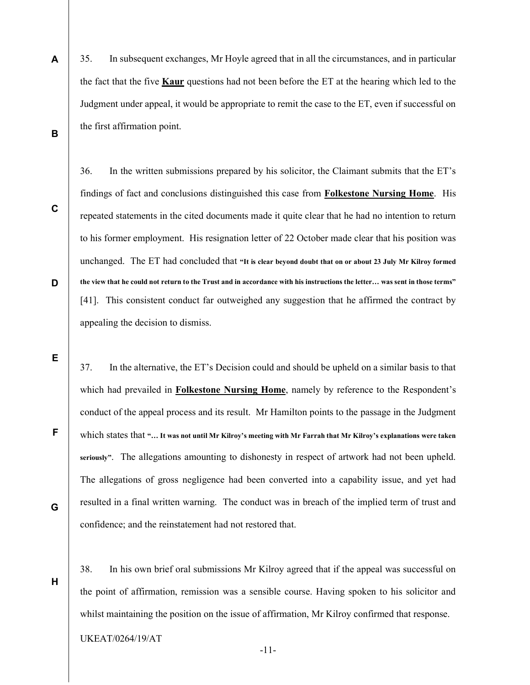35. In subsequent exchanges, Mr Hoyle agreed that in all the circumstances, and in particular the fact that the five  $Kaur$  questions had not been before the ET at the hearing which led to the Judgment under appeal, it would be appropriate to remit the case to the ET, even if successful on the first affirmation point.

C

D

E

F

G

H

A

B

36. In the written submissions prepared by his solicitor, the Claimant submits that the ET's findings of fact and conclusions distinguished this case from Folkestone Nursing Home. His repeated statements in the cited documents made it quite clear that he had no intention to return to his former employment. His resignation letter of 22 October made clear that his position was unchanged. The ET had concluded that "It is clear beyond doubt that on or about 23 July Mr Kilroy formed the view that he could not return to the Trust and in accordance with his instructions the letter… was sent in those terms" [41]. This consistent conduct far outweighed any suggestion that he affirmed the contract by appealing the decision to dismiss.

37. In the alternative, the ET's Decision could and should be upheld on a similar basis to that which had prevailed in **Folkestone Nursing Home**, namely by reference to the Respondent's conduct of the appeal process and its result. Mr Hamilton points to the passage in the Judgment which states that "… It was not until Mr Kilroy's meeting with Mr Farrah that Mr Kilroy's explanations were taken seriously". The allegations amounting to dishonesty in respect of artwork had not been upheld. The allegations of gross negligence had been converted into a capability issue, and yet had resulted in a final written warning. The conduct was in breach of the implied term of trust and confidence; and the reinstatement had not restored that.

38. In his own brief oral submissions Mr Kilroy agreed that if the appeal was successful on the point of affirmation, remission was a sensible course. Having spoken to his solicitor and whilst maintaining the position on the issue of affirmation, Mr Kilroy confirmed that response.

UKEAT/0264/19/AT

-11-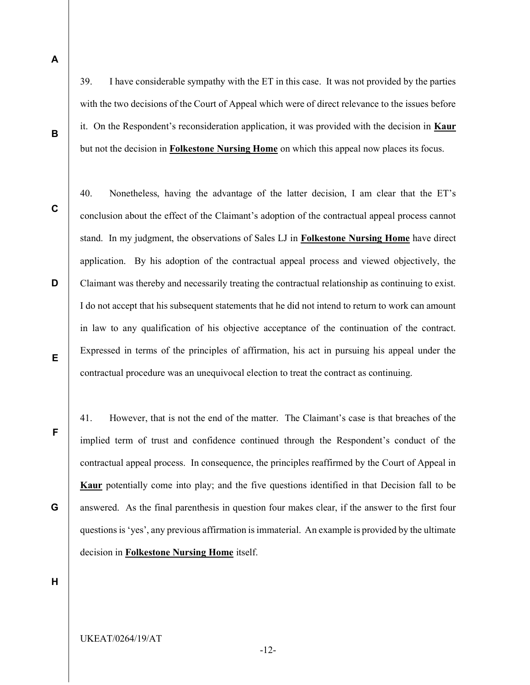A

B

39. I have considerable sympathy with the ET in this case. It was not provided by the parties with the two decisions of the Court of Appeal which were of direct relevance to the issues before it. On the Respondent's reconsideration application, it was provided with the decision in Kaur but not the decision in Folkestone Nursing Home on which this appeal now places its focus.

C

D

E

F

G

40. Nonetheless, having the advantage of the latter decision, I am clear that the ET's conclusion about the effect of the Claimant's adoption of the contractual appeal process cannot stand. In my judgment, the observations of Sales LJ in Folkestone Nursing Home have direct application. By his adoption of the contractual appeal process and viewed objectively, the Claimant was thereby and necessarily treating the contractual relationship as continuing to exist. I do not accept that his subsequent statements that he did not intend to return to work can amount in law to any qualification of his objective acceptance of the continuation of the contract. Expressed in terms of the principles of affirmation, his act in pursuing his appeal under the contractual procedure was an unequivocal election to treat the contract as continuing.

41. However, that is not the end of the matter. The Claimant's case is that breaches of the implied term of trust and confidence continued through the Respondent's conduct of the contractual appeal process. In consequence, the principles reaffirmed by the Court of Appeal in Kaur potentially come into play; and the five questions identified in that Decision fall to be answered. As the final parenthesis in question four makes clear, if the answer to the first four questions is 'yes', any previous affirmation is immaterial. An example is provided by the ultimate decision in Folkestone Nursing Home itself.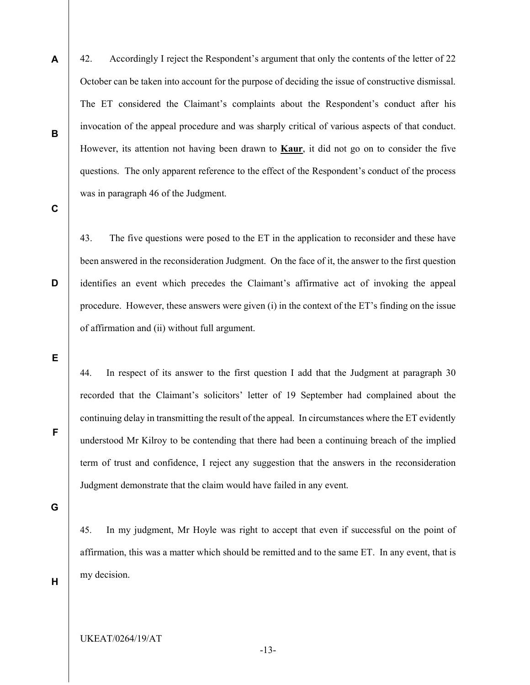42. Accordingly I reject the Respondent's argument that only the contents of the letter of 22 October can be taken into account for the purpose of deciding the issue of constructive dismissal. The ET considered the Claimant's complaints about the Respondent's conduct after his invocation of the appeal procedure and was sharply critical of various aspects of that conduct. However, its attention not having been drawn to  $Kaur$ , it did not go on to consider the five questions. The only apparent reference to the effect of the Respondent's conduct of the process was in paragraph 46 of the Judgment.

C

D

A

B

43. The five questions were posed to the ET in the application to reconsider and these have been answered in the reconsideration Judgment. On the face of it, the answer to the first question identifies an event which precedes the Claimant's affirmative act of invoking the appeal procedure. However, these answers were given (i) in the context of the ET's finding on the issue of affirmation and (ii) without full argument.

E

44. In respect of its answer to the first question I add that the Judgment at paragraph 30 recorded that the Claimant's solicitors' letter of 19 September had complained about the continuing delay in transmitting the result of the appeal. In circumstances where the ET evidently understood Mr Kilroy to be contending that there had been a continuing breach of the implied term of trust and confidence, I reject any suggestion that the answers in the reconsideration Judgment demonstrate that the claim would have failed in any event.

G

F

45. In my judgment, Mr Hoyle was right to accept that even if successful on the point of affirmation, this was a matter which should be remitted and to the same ET. In any event, that is my decision.